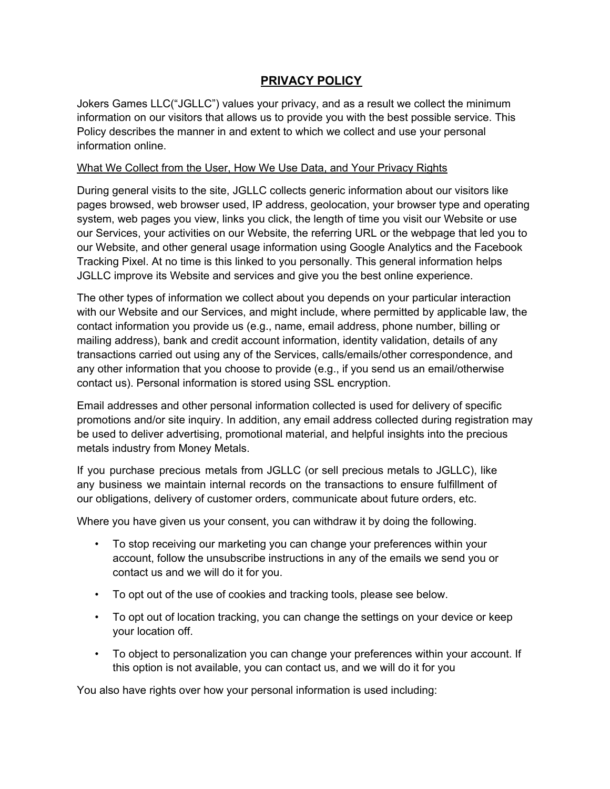# **PRIVACY POLICY**

Jokers Games LLC("JGLLC") values your privacy, and as a result we collect the minimum information on our visitors that allows us to provide you with the best possible service. This Policy describes the manner in and extent to which we collect and use your personal information online.

#### What We Collect from the User, How We Use Data, and Your Privacy Rights

During general visits to the site, JGLLC collects generic information about our visitors like pages browsed, web browser used, IP address, geolocation, your browser type and operating system, web pages you view, links you click, the length of time you visit our Website or use our Services, your activities on our Website, the referring URL or the webpage that led you to our Website, and other general usage information using Google Analytics and the Facebook Tracking Pixel. At no time is this linked to you personally. This general information helps JGLLC improve its Website and services and give you the best online experience.

The other types of information we collect about you depends on your particular interaction with our Website and our Services, and might include, where permitted by applicable law, the contact information you provide us (e.g., name, email address, phone number, billing or mailing address), bank and credit account information, identity validation, details of any transactions carried out using any of the Services, calls/emails/other correspondence, and any other information that you choose to provide (e.g., if you send us an email/otherwise contact us). Personal information is stored using SSL encryption.

Email addresses and other personal information collected is used for delivery of specific promotions and/or site inquiry. In addition, any email address collected during registration may be used to deliver advertising, promotional material, and helpful insights into the precious metals industry from Money Metals.

If you purchase precious metals from JGLLC (or sell precious metals to JGLLC), like any business we maintain internal records on the transactions to ensure fulfillment of our obligations, delivery of customer orders, communicate about future orders, etc.

Where you have given us your consent, you can withdraw it by doing the following.

- To stop receiving our marketing you can change your preferences within your account, follow the unsubscribe instructions in any of the emails we send you or contact us and we will do it for you.
- To opt out of the use of cookies and tracking tools, please see below.
- To opt out of location tracking, you can change the settings on your device or keep your location off.
- To object to personalization you can change your preferences within your account. If this option is not available, you can contact us, and we will do it for you

You also have rights over how your personal information is used including: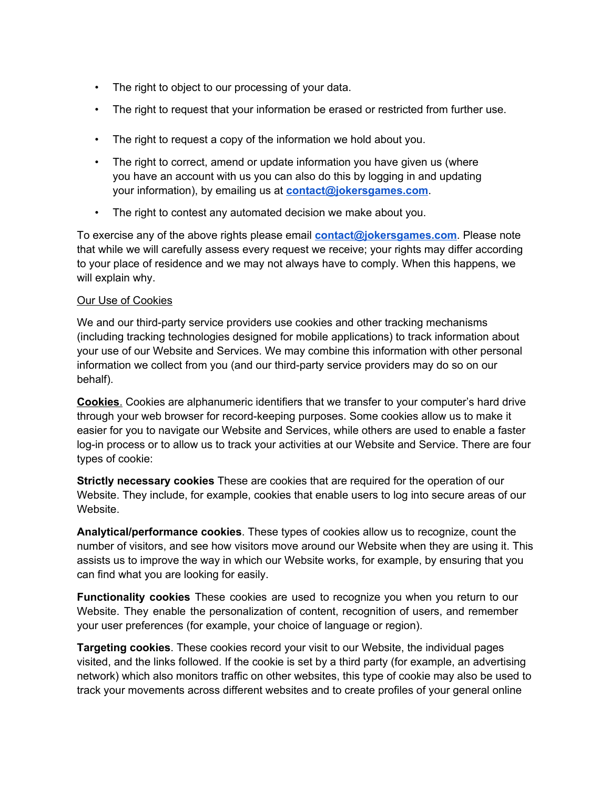- The right to object to our processing of your data.
- The right to request that your information be erased or restricted from further use.
- The right to request a copy of the information we hold about you.
- The right to correct, amend or update information you have given us (where you have an account with us you can also do this by logging in and updating your information), by emailing us at **[contact@jokersgames.com](mailto:contact@jokersgames.com)**.
- The right to contest any automated decision we make about you.

To exercise any of the above rights please email **[contact@jokersgames.com](mailto:contact@jokersgames.com)**. Please note that while we will carefully assess every request we receive; your rights may differ according to your place of residence and we may not always have to comply. When this happens, we will explain why.

### Our Use of Cookies

We and our third-party service providers use cookies and other tracking mechanisms (including tracking technologies designed for mobile applications) to track information about your use of our Website and Services. We may combine this information with other personal information we collect from you (and our third-party service providers may do so on our behalf).

**Cookies**. Cookies are alphanumeric identifiers that we transfer to your computer's hard drive through your web browser for record-keeping purposes. Some cookies allow us to make it easier for you to navigate our Website and Services, while others are used to enable a faster log-in process or to allow us to track your activities at our Website and Service. There are four types of cookie:

**Strictly necessary cookies** These are cookies that are required for the operation of our Website. They include, for example, cookies that enable users to log into secure areas of our Website.

**Analytical/performance cookies**. These types of cookies allow us to recognize, count the number of visitors, and see how visitors move around our Website when they are using it. This assists us to improve the way in which our Website works, for example, by ensuring that you can find what you are looking for easily.

**Functionality cookies** These cookies are used to recognize you when you return to our Website. They enable the personalization of content, recognition of users, and remember your user preferences (for example, your choice of language or region).

**Targeting cookies**. These cookies record your visit to our Website, the individual pages visited, and the links followed. If the cookie is set by a third party (for example, an advertising network) which also monitors traffic on other websites, this type of cookie may also be used to track your movements across different websites and to create profiles of your general online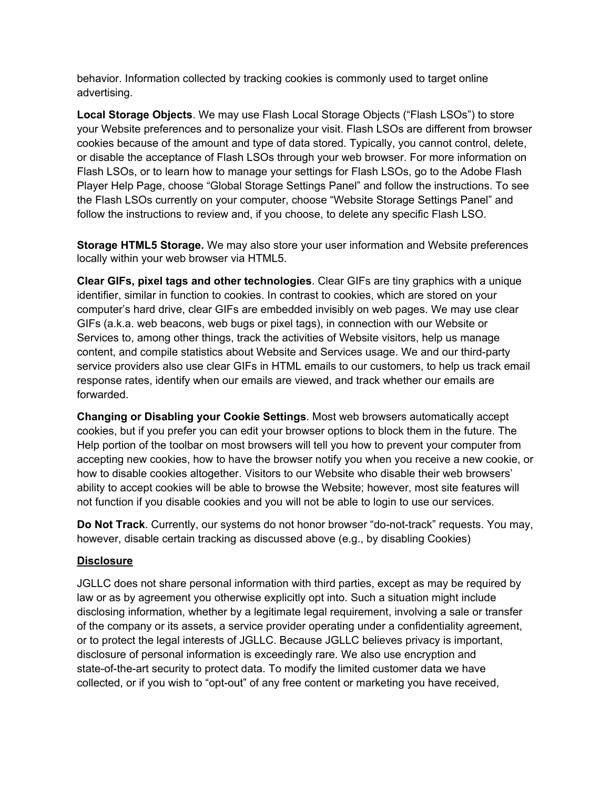behavior. Information collected by tracking cookies is commonly used to target online advertising.

**Local Storage Objects**. We may use Flash Local Storage Objects ("Flash LSOs") to store your Website preferences and to personalize your visit. Flash LSOs are different from browser cookies because of the amount and type of data stored. Typically, you cannot control, delete, or disable the acceptance of Flash LSOs through your web browser. For more information on Flash LSOs, or to learn how to manage your settings for Flash LSOs, go to the Adobe Flash Player Help Page, choose "Global Storage Settings Panel" and follow the instructions. To see the Flash LSOs currently on your computer, choose "Website Storage Settings Panel" and follow the instructions to review and, if you choose, to delete any specific Flash LSO.

**Storage HTML5 Storage.** We may also store your user information and Website preferences locally within your web browser via HTML5.

**Clear GIFs, pixel tags and other technologies**. Clear GIFs are tiny graphics with a unique identifier, similar in function to cookies. In contrast to cookies, which are stored on your computer's hard drive, clear GIFs are embedded invisibly on web pages. We may use clear GIFs (a.k.a. web beacons, web bugs or pixel tags), in connection with our Website or Services to, among other things, track the activities of Website visitors, help us manage content, and compile statistics about Website and Services usage. We and our third-party service providers also use clear GIFs in HTML emails to our customers, to help us track email response rates, identify when our emails are viewed, and track whether our emails are forwarded.

**Changing or Disabling your Cookie Settings**. Most web browsers automatically accept cookies, but if you prefer you can edit your browser options to block them in the future. The Help portion of the toolbar on most browsers will tell you how to prevent your computer from accepting new cookies, how to have the browser notify you when you receive a new cookie, or how to disable cookies altogether. Visitors to our Website who disable their web browsers' ability to accept cookies will be able to browse the Website; however, most site features will not function if you disable cookies and you will not be able to login to use our services.

**Do Not Track**. Currently, our systems do not honor browser "do-not-track" requests. You may, however, disable certain tracking as discussed above (e.g., by disabling Cookies)

### **Disclosure**

JGLLC does not share personal information with third parties, except as may be required by law or as by agreement you otherwise explicitly opt into. Such a situation might include disclosing information, whether by a legitimate legal requirement, involving a sale or transfer of the company or its assets, a service provider operating under a confidentiality agreement, or to protect the legal interests of JGLLC. Because JGLLC believes privacy is important, disclosure of personal information is exceedingly rare. We also use encryption and state-of-the-art security to protect data. To modify the limited customer data we have collected, or if you wish to "opt-out" of any free content or marketing you have received,